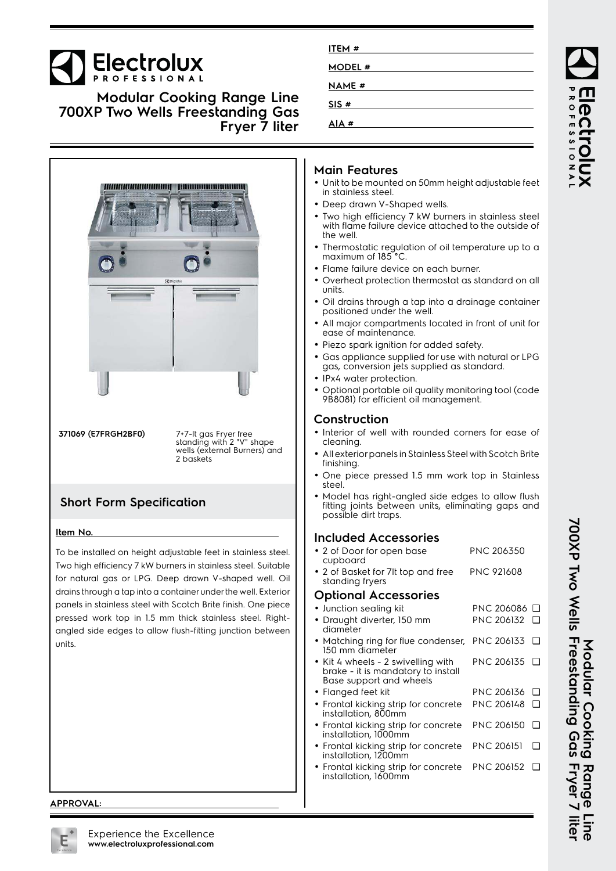# **Electrolux**

**Modular Cooking Range Line 700XP Two Wells Freestanding Gas Fryer 7 liter**



**371069 (E7FRGH2BF0) 7+7-**It gas Fryer free<br>standing with 2 "V" shape<br>wells (external Burners) and 2 baskets

## **Short Form Specification**

#### **Item No.**

To be installed on height adjustable feet in stainless steel. Two high efficiency 7 kW burners in stainless steel. Suitable for natural gas or LPG. Deep drawn V-shaped well. Oil drains through a tap into a container under the well. Exterior panels in stainless steel with Scotch Brite finish. One piece pressed work top in 1.5 mm thick stainless steel. Rightangled side edges to allow flush-fitting junction between units.

#### **APPROVAL:**

| ITEM#         |  |
|---------------|--|
| <b>MODEL#</b> |  |
| <b>NAME#</b>  |  |
| SIS#          |  |
| AIA#          |  |

### **Main Features**

- Unit to be mounted on 50mm height adjustable feet in stainless steel.
- Deep drawn V-Shaped wells.
- • Two high efficiency 7 kW burners in stainless steel with flame failure device attached to the outside of the well.
- • Thermostatic regulation of oil temperature up to a maximum of 185°C.
- Flame failure device on each burner.
- Overheat protection thermostat as standard on all units.
- Oil drains through a tap into a drainage container positioned under the well.
- All major compartments located in front of unit for ease of maintenance.
- Piezo spark ignition for added safety.
- • Gas appliance supplied for use with natural or LPG gas, conversion jets supplied as standard.
- IPx4 water protection.
- • Optional portable oil quality monitoring tool (code 9B8081) for efficient oil management.

#### **Construction**

- Interior of well with rounded corners for ease of cleaning.
- • All exterior panels in Stainless Steel with Scotch Brite finishing.
- • One piece pressed 1.5 mm work top in Stainless steel.
- • Model has right-angled side edges to allow flush fitting joints between units, eliminating gaps and possible dirt traps.

#### **Included Accessories**

| • 2 of Door for open base<br>cupboard                                                               | <b>PNC 206350</b> |        |
|-----------------------------------------------------------------------------------------------------|-------------------|--------|
| • 2 of Basket for 7It top and free<br>standing fryers                                               | <b>PNC 921608</b> |        |
| <b>Optional Accessories</b>                                                                         |                   |        |
| • Junction sealing kit                                                                              | PNC 206086 □      |        |
| • Draught diverter, 150 mm<br>diameter                                                              | PNC 206132        |        |
| • Matching ring for flue condenser,<br>150 mm diameter                                              | <b>PNC 206133</b> | $\Box$ |
| • Kit 4 wheels - 2 swivelling with<br>brake - it is mandatory to install<br>Base support and wheels | PNC 206135        | $\Box$ |
| • Flanged feet kit                                                                                  | PNC 206136        | $\Box$ |
| • Frontal kicking strip for concrete<br>installation, 800mm                                         | PNC 206148        | $\Box$ |
| • Frontal kicking strip for concrete<br>installation, 1000mm                                        | <b>PNC 206150</b> | $\Box$ |
| • Frontal kicking strip for concrete<br>installation, 1200mm                                        | <b>PNC 206151</b> | $\Box$ |
| • Frontal kicking strip for concrete<br>installation, 1600mm                                        | <b>PNC 206152</b> | П      |

**700XP Two Wells Freestanding Gas Fryer 7 liter** 700XP Two Wells Freestanding Gas Fryer 7 liter Modular Cooking **Modular Cooking Range Line** Range

ROFESSIONA

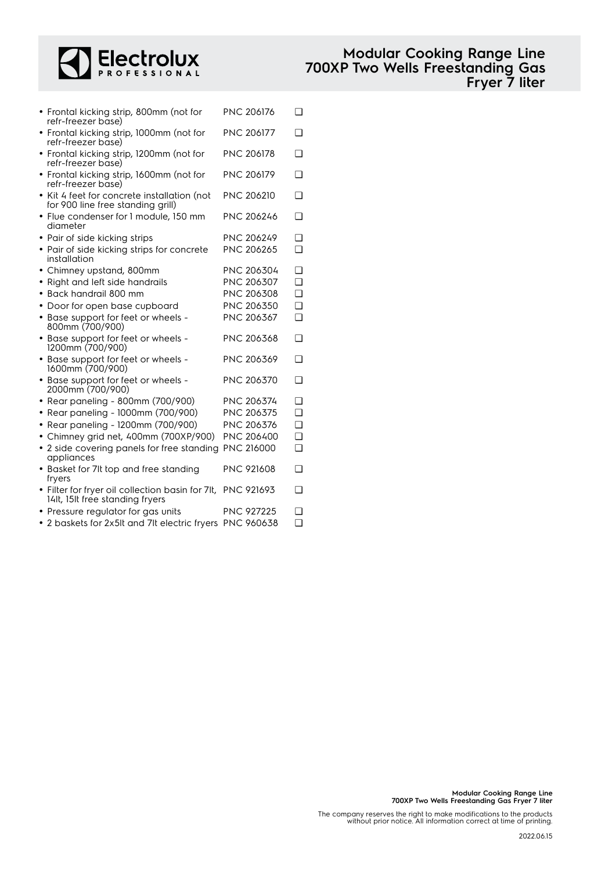

| • Frontal kicking strip, 800mm (not for<br>refr-freezer base)                                  | <b>PNC 206176</b> | ∩      |
|------------------------------------------------------------------------------------------------|-------------------|--------|
| • Frontal kicking strip, 1000mm (not for<br>refr-freezer base)                                 | <b>PNC 206177</b> | ∩      |
| • Frontal kicking strip, 1200mm (not for<br>refr-freezer base)                                 | <b>PNC 206178</b> | ∩      |
| • Frontal kicking strip, 1600mm (not for<br>refr-freezer base)                                 | <b>PNC 206179</b> | ∩      |
| • Kit 4 feet for concrete installation (not<br>for 900 line free standing grill)               | <b>PNC 206210</b> | ∩      |
| Flue condenser for 1 module, 150 mm<br>diameter                                                | PNC 206246        | ∩      |
| Pair of side kicking strips                                                                    | PNC 206249        | n      |
| • Pair of side kicking strips for concrete<br>installation                                     | PNC 206265        | ∩      |
| Chimney upstand, 800mm                                                                         | PNC 206304        | ❏      |
| Right and left side handrails<br>$\bullet$                                                     | PNC 206307        | n      |
| Back handrail 800 mm                                                                           | PNC 206308        | $\Box$ |
| • Door for open base cupboard                                                                  | PNC 206350        | ◻      |
| • Base support for feet or wheels -<br>800mm (700/900)                                         | PNC 206367        | $\Box$ |
| • Base support for feet or wheels -<br>1200mm (700/900)                                        | PNC 206368        | ❏      |
| • Base support for feet or wheels -<br>1600mm (700/900)                                        | PNC 206369        | ❏      |
| • Base support for feet or wheels -<br>2000mm (700/900)                                        | PNC 206370        | ◘      |
| Rear paneling - 800mm (700/900)<br>$\bullet$                                                   | PNC 206374        | ∩      |
| • Rear paneling - 1000mm (700/900)                                                             | PNC 206375        | ◻      |
| • Rear paneling - 1200mm (700/900)                                                             | PNC 206376        | $\Box$ |
| • Chimney grid net, 400mm (700XP/900)                                                          | PNC 206400        | ◻      |
| • 2 side covering panels for free standing<br>appliances                                       | PNC 216000        | ∩      |
| • Basket for 7It top and free standing<br>fryers                                               | <b>PNC 921608</b> | ❏      |
| · Filter for fryer oil collection basin for 7lt, PNC 921693<br>14lt, 15lt free standing fryers |                   | ∩      |

- Pressure regulator for gas units PNC 927225 Q
- 2 baskets for 2x5lt and 7lt electric fryers PNC 960638 ❑